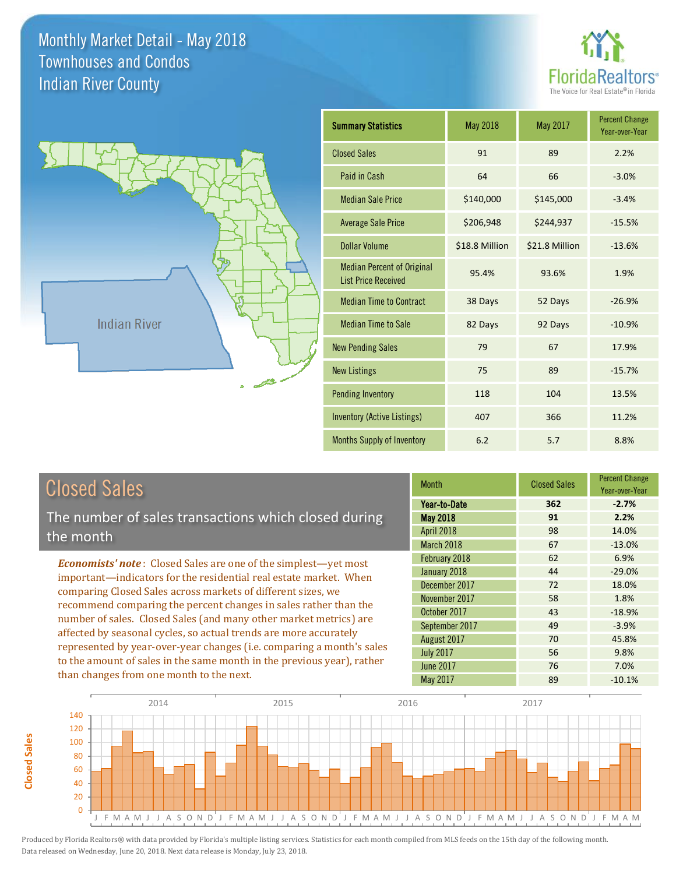



| <b>Closed Sales</b> |  |
|---------------------|--|
|                     |  |

**Closed Sales**

**Closed Sales** 

The number of sales transactions which closed during the month

*Economists' note* : Closed Sales are one of the simplest—yet most important—indicators for the residential real estate market. When comparing Closed Sales across markets of different sizes, we recommend comparing the percent changes in sales rather than the number of sales. Closed Sales (and many other market metrics) are affected by seasonal cycles, so actual trends are more accurately represented by year-over-year changes (i.e. comparing a month's sales to the amount of sales in the same month in the previous year), rather than changes from one month to the next.

| <b>Month</b>      | <b>Closed Sales</b> | <b>Percent Change</b><br>Year-over-Year |
|-------------------|---------------------|-----------------------------------------|
| Year-to-Date      | 362                 | $-2.7%$                                 |
| <b>May 2018</b>   | 91                  | 2.2%                                    |
| <b>April 2018</b> | 98                  | 14.0%                                   |
| March 2018        | 67                  | $-13.0%$                                |
| February 2018     | 62                  | 6.9%                                    |
| January 2018      | 44                  | $-29.0%$                                |
| December 2017     | 72                  | 18.0%                                   |
| November 2017     | 58                  | 1.8%                                    |
| October 2017      | 43                  | $-18.9%$                                |
| September 2017    | 49                  | $-3.9%$                                 |
| August 2017       | 70                  | 45.8%                                   |
| <b>July 2017</b>  | 56                  | 9.8%                                    |
| <b>June 2017</b>  | 76                  | 7.0%                                    |
| <b>May 2017</b>   | 89                  | $-10.1%$                                |

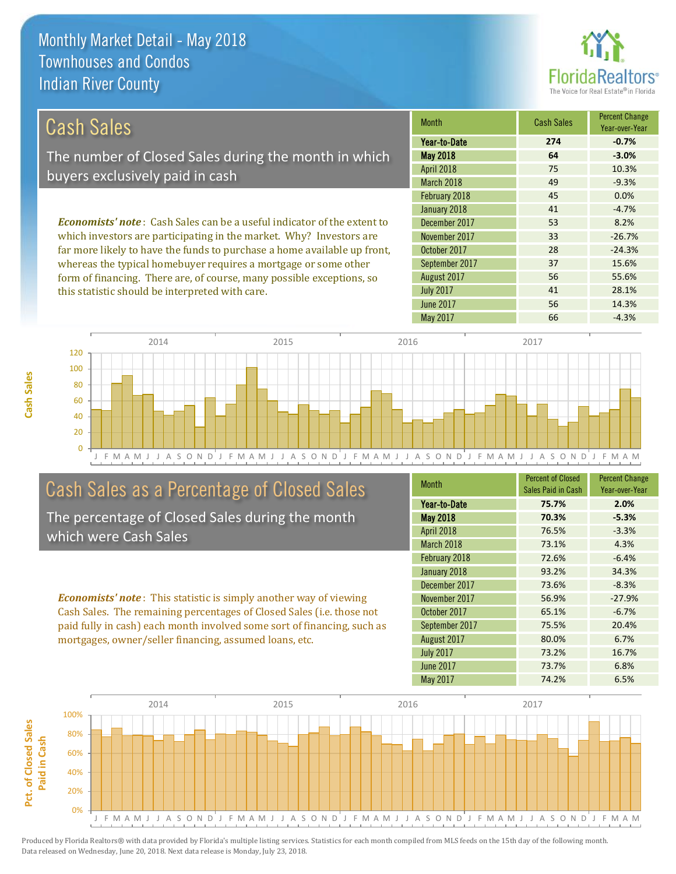

41 28.1%

56 55.6%

| Cash Sales                                                                     | <b>Month</b>      | <b>Cash Sales</b> | <b>Percent Change</b><br>Year-over-Year |
|--------------------------------------------------------------------------------|-------------------|-------------------|-----------------------------------------|
|                                                                                | Year-to-Date      | 274               | $-0.7%$                                 |
| The number of Closed Sales during the month in which                           | <b>May 2018</b>   | 64                | $-3.0%$                                 |
|                                                                                | <b>April 2018</b> | 75                | 10.3%                                   |
| buyers exclusively paid in cash                                                | March 2018        | 49                | $-9.3%$                                 |
|                                                                                | February 2018     | 45                | 0.0%                                    |
|                                                                                | January 2018      | 41                | $-4.7%$                                 |
| <b>Economists' note:</b> Cash Sales can be a useful indicator of the extent to | December 2017     | 53                | 8.2%                                    |
| which investors are participating in the market. Why? Investors are            | November 2017     | 33                | $-26.7%$                                |
| far more likely to have the funds to purchase a home available up front,       | October 2017      | 28                | $-24.3%$                                |
| whereas the typical homebuyer requires a mortgage or some other                | September 2017    | 37                | 15.6%                                   |

August 2017

July 2017

J F M A M J J A S O N D J F M A M J J A S O N D J F M A M J J A S O N D J F M A M J J A S O N D J F M A M  $\Omega$ 20 40 60 80 100 120 2014 2015 2015 2016 2017 2018 2017

## Cash Sales as a Percentage of Closed Sales

form of financing. There are, of course, many possible exceptions, so

this statistic should be interpreted with care.

The percentage of Closed Sales during the month which were Cash Sales

*Economists' note* : This statistic is simply another way of viewing Cash Sales. The remaining percentages of Closed Sales (i.e. those not paid fully in cash) each month involved some sort of financing, such as mortgages, owner/seller financing, assumed loans, etc.

| <b>Month</b>     | <b>Percent of Closed</b><br>Sales Paid in Cash | <b>Percent Change</b><br>Year-over-Year |
|------------------|------------------------------------------------|-----------------------------------------|
| Year-to-Date     | 75.7%                                          | 2.0%                                    |
| <b>May 2018</b>  | 70.3%                                          | $-5.3%$                                 |
| April 2018       | 76.5%                                          | $-3.3%$                                 |
| March 2018       | 73.1%                                          | 4.3%                                    |
| February 2018    | 72.6%                                          | $-6.4%$                                 |
| January 2018     | 93.2%                                          | 34.3%                                   |
| December 2017    | 73.6%                                          | $-8.3%$                                 |
| November 2017    | 56.9%                                          | $-27.9%$                                |
| October 2017     | 65.1%                                          | $-6.7%$                                 |
| September 2017   | 75.5%                                          | 20.4%                                   |
| August 2017      | 80.0%                                          | 6.7%                                    |
| <b>July 2017</b> | 73.2%                                          | 16.7%                                   |
| <b>June 2017</b> | 73.7%                                          | 6.8%                                    |
| May 2017         | 74.2%                                          | 6.5%                                    |

June 2017 **56** 14.3%

May 2017 66 -4.3%

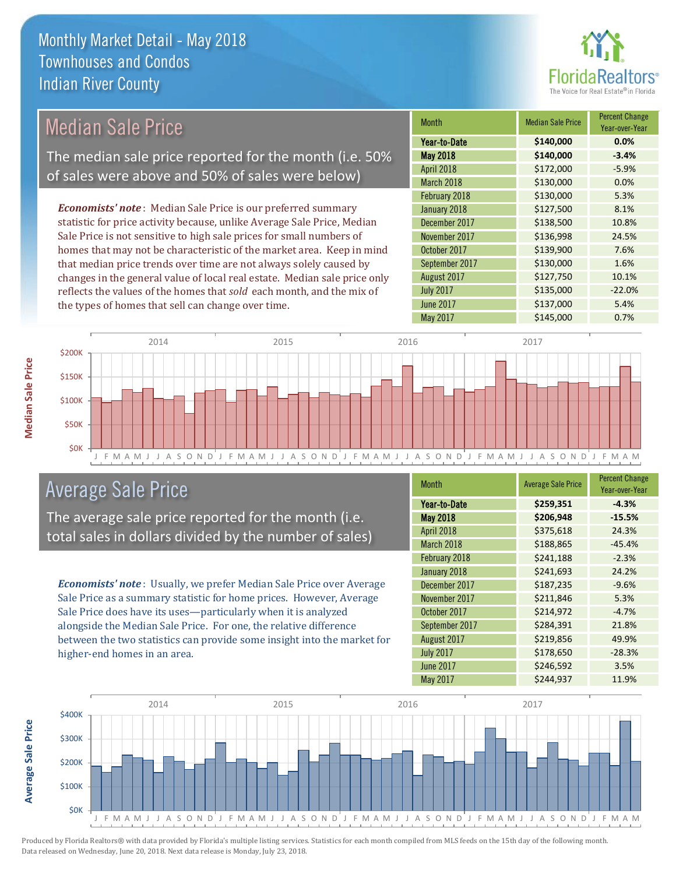

| <b>Median Sale Price</b>                                                  |      | <b>Month</b>  | <b>Median Sale Price</b> | <b>Percent Change</b><br>Year-over-Year |          |
|---------------------------------------------------------------------------|------|---------------|--------------------------|-----------------------------------------|----------|
|                                                                           |      |               | Year-to-Date             | \$140,000                               | 0.0%     |
| The median sale price reported for the month (i.e. 50%                    |      |               | <b>May 2018</b>          | \$140,000                               | $-3.4%$  |
| of sales were above and 50% of sales were below)                          |      |               | <b>April 2018</b>        | \$172,000                               | $-5.9%$  |
|                                                                           |      |               | March 2018               | \$130,000                               | 0.0%     |
|                                                                           |      |               | February 2018            | \$130,000                               | 5.3%     |
| <b>Economists' note:</b> Median Sale Price is our preferred summary       |      |               | January 2018             | \$127,500                               | 8.1%     |
| statistic for price activity because, unlike Average Sale Price, Median   |      |               | December 2017            | \$138,500                               | 10.8%    |
| Sale Price is not sensitive to high sale prices for small numbers of      |      | November 2017 | \$136,998                | 24.5%                                   |          |
| homes that may not be characteristic of the market area. Keep in mind     |      |               | October 2017             | \$139,900                               | 7.6%     |
| that median price trends over time are not always solely caused by        |      |               | September 2017           | \$130,000                               | 1.6%     |
| changes in the general value of local real estate. Median sale price only |      |               | August 2017              | \$127,750                               | 10.1%    |
| reflects the values of the homes that sold each month, and the mix of     |      |               | <b>July 2017</b>         | \$135,000                               | $-22.0%$ |
| the types of homes that sell can change over time.                        |      |               | June 2017                | \$137,000                               | 5.4%     |
|                                                                           |      |               | May 2017                 | \$145,000                               | 0.7%     |
|                                                                           |      |               |                          |                                         |          |
| 2014                                                                      | 2015 |               | 2016                     | 2017                                    |          |
| \$200K                                                                    |      |               |                          |                                         |          |



## Average Sale Price

The average sale price reported for the month (i.e. total sales in dollars divided by the number of sales)

*Economists' note* : Usually, we prefer Median Sale Price over Average Sale Price as a summary statistic for home prices. However, Average Sale Price does have its uses—particularly when it is analyzed alongside the Median Sale Price. For one, the relative difference between the two statistics can provide some insight into the market for higher-end homes in an area.

| <b>Month</b>     | <b>Average Sale Price</b> | <b>Percent Change</b><br>Year-over-Year |
|------------------|---------------------------|-----------------------------------------|
| Year-to-Date     | \$259,351                 | $-4.3%$                                 |
| <b>May 2018</b>  | \$206,948                 | $-15.5%$                                |
| April 2018       | \$375,618                 | 24.3%                                   |
| March 2018       | \$188,865                 | $-45.4%$                                |
| February 2018    | \$241,188                 | $-2.3%$                                 |
| January 2018     | \$241,693                 | 24.2%                                   |
| December 2017    | \$187,235                 | $-9.6%$                                 |
| November 2017    | \$211,846                 | 5.3%                                    |
| October 2017     | \$214,972                 | $-4.7%$                                 |
| September 2017   | \$284,391                 | 21.8%                                   |
| August 2017      | \$219,856                 | 49.9%                                   |
| <b>July 2017</b> | \$178,650                 | $-28.3%$                                |
| <b>June 2017</b> | \$246,592                 | 3.5%                                    |
| May 2017         | \$244,937                 | 11.9%                                   |



Produced by Florida Realtors® with data provided by Florida's multiple listing services. Statistics for each month compiled from MLS feeds on the 15th day of the following month. Data released on Wednesday, June 20, 2018. Next data release is Monday, July 23, 2018.

**Average Sale Price**

**Average Sale Price**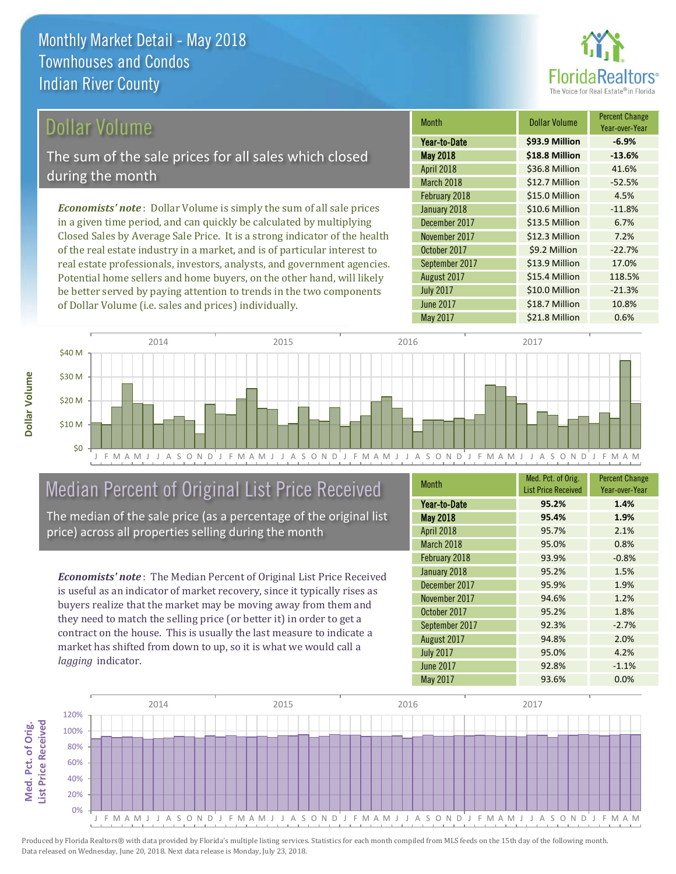

### Dollar Volume

The sum of the sale prices for all sales which closed during the month

*Economists' note* : Dollar Volume is simply the sum of all sale prices in a given time period, and can quickly be calculated by multiplying Closed Sales by Average Sale Price. It is a strong indicator of the health of the real estate industry in a market, and is of particular interest to real estate professionals, investors, analysts, and government agencies. Potential home sellers and home buyers, on the other hand, will likely be better served by paying attention to trends in the two components of Dollar Volume (i.e. sales and prices) individually.

| <b>Month</b>     | Dollar Volume  | <b>Percent Change</b><br>Year-over-Year |
|------------------|----------------|-----------------------------------------|
| Year-to-Date     | \$93.9 Million | $-6.9%$                                 |
| <b>May 2018</b>  | \$18.8 Million | $-13.6%$                                |
| April 2018       | \$36.8 Million | 41.6%                                   |
| March 2018       | \$12.7 Million | $-52.5%$                                |
| February 2018    | \$15.0 Million | 4.5%                                    |
| January 2018     | \$10.6 Million | $-11.8%$                                |
| December 2017    | \$13.5 Million | 6.7%                                    |
| November 2017    | \$12.3 Million | 7.2%                                    |
| October 2017     | \$9.2 Million  | $-22.7%$                                |
| September 2017   | \$13.9 Million | 17.0%                                   |
| August 2017      | \$15.4 Million | 118.5%                                  |
| <b>July 2017</b> | \$10.0 Million | $-21.3%$                                |
| <b>June 2017</b> | \$18.7 Million | 10.8%                                   |
| <b>May 2017</b>  | \$21.8 Million | 0.6%                                    |



## Median Percent of Original List Price Received

The median of the sale price (as a percentage of the original list price) across all properties selling during the month

*Economists' note* : The Median Percent of Original List Price Received is useful as an indicator of market recovery, since it typically rises as buyers realize that the market may be moving away from them and they need to match the selling price (or better it) in order to get a contract on the house. This is usually the last measure to indicate a market has shifted from down to up, so it is what we would call a *lagging* indicator.

| <b>Month</b>     | Med. Pct. of Orig.         | <b>Percent Change</b> |
|------------------|----------------------------|-----------------------|
|                  | <b>List Price Received</b> | Year-over-Year        |
| Year-to-Date     | 95.2%                      | 1.4%                  |
| <b>May 2018</b>  | 95.4%                      | 1.9%                  |
| April 2018       | 95.7%                      | 2.1%                  |
| March 2018       | 95.0%                      | 0.8%                  |
| February 2018    | 93.9%                      | $-0.8%$               |
| January 2018     | 95.2%                      | 1.5%                  |
| December 2017    | 95.9%                      | 1.9%                  |
| November 2017    | 94.6%                      | 1.2%                  |
| October 2017     | 95.2%                      | 1.8%                  |
| September 2017   | 92.3%                      | $-2.7%$               |
| August 2017      | 94.8%                      | 2.0%                  |
| <b>July 2017</b> | 95.0%                      | 4.2%                  |
| June 2017        | 92.8%                      | $-1.1%$               |
| <b>May 2017</b>  | 93.6%                      | 0.0%                  |

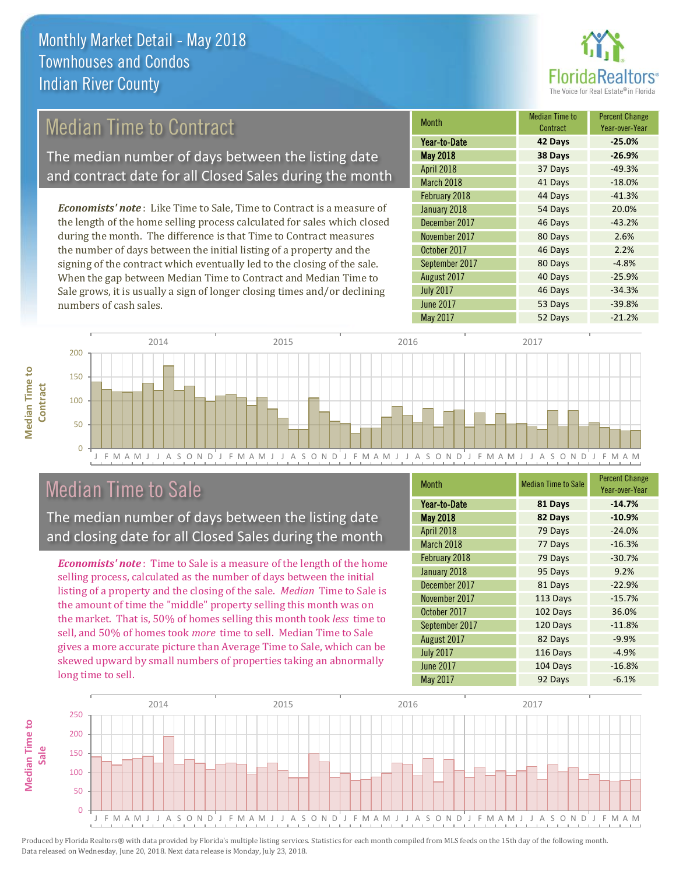

## Median Time to Contract

The median number of days between the listing date and contract date for all Closed Sales during the month

*Economists' note* : Like Time to Sale, Time to Contract is a measure of the length of the home selling process calculated for sales which closed during the month. The difference is that Time to Contract measures the number of days between the initial listing of a property and the signing of the contract which eventually led to the closing of the sale. When the gap between Median Time to Contract and Median Time to Sale grows, it is usually a sign of longer closing times and/or declining numbers of cash sales.

| <b>Month</b>      | <b>Median Time to</b><br>Contract | <b>Percent Change</b><br>Year-over-Year |
|-------------------|-----------------------------------|-----------------------------------------|
| Year-to-Date      | 42 Days                           | $-25.0%$                                |
| <b>May 2018</b>   | 38 Days                           | $-26.9%$                                |
| <b>April 2018</b> | 37 Days                           | $-49.3%$                                |
| March 2018        | 41 Days                           | $-18.0%$                                |
| February 2018     | 44 Days                           | $-41.3%$                                |
| January 2018      | 54 Days                           | 20.0%                                   |
| December 2017     | 46 Days                           | $-43.2%$                                |
| November 2017     | 80 Days                           | 2.6%                                    |
| October 2017      | 46 Days                           | 2.2%                                    |
| September 2017    | 80 Days                           | $-4.8%$                                 |
| August 2017       | 40 Days                           | $-25.9%$                                |
| <b>July 2017</b>  | 46 Days                           | $-34.3%$                                |
| <b>June 2017</b>  | 53 Days                           | $-39.8%$                                |
| <b>May 2017</b>   | 52 Days                           | $-21.2%$                                |



### Median Time to Sale

**Median Time to** 

**Median Time to** 

The median number of days between the listing date and closing date for all Closed Sales during the month

*Economists' note* : Time to Sale is a measure of the length of the home selling process, calculated as the number of days between the initial listing of a property and the closing of the sale. *Median* Time to Sale is the amount of time the "middle" property selling this month was on the market. That is, 50% of homes selling this month took *less* time to sell, and 50% of homes took *more* time to sell. Median Time to Sale gives a more accurate picture than Average Time to Sale, which can be skewed upward by small numbers of properties taking an abnormally long time to sell.

| <b>Month</b>     | <b>Median Time to Sale</b> | <b>Percent Change</b><br>Year-over-Year |
|------------------|----------------------------|-----------------------------------------|
| Year-to-Date     | 81 Days                    | $-14.7%$                                |
| <b>May 2018</b>  | 82 Days                    | $-10.9%$                                |
| April 2018       | 79 Days                    | $-24.0%$                                |
| March 2018       | 77 Days                    | $-16.3%$                                |
| February 2018    | 79 Days                    | $-30.7%$                                |
| January 2018     | 95 Days                    | 9.2%                                    |
| December 2017    | 81 Days                    | $-22.9%$                                |
| November 2017    | 113 Days                   | $-15.7%$                                |
| October 2017     | 102 Days                   | 36.0%                                   |
| September 2017   | 120 Days                   | $-11.8%$                                |
| August 2017      | 82 Days                    | $-9.9%$                                 |
| <b>July 2017</b> | 116 Days                   | $-4.9%$                                 |
| <b>June 2017</b> | 104 Days                   | $-16.8%$                                |
| May 2017         | 92 Days                    | $-6.1%$                                 |

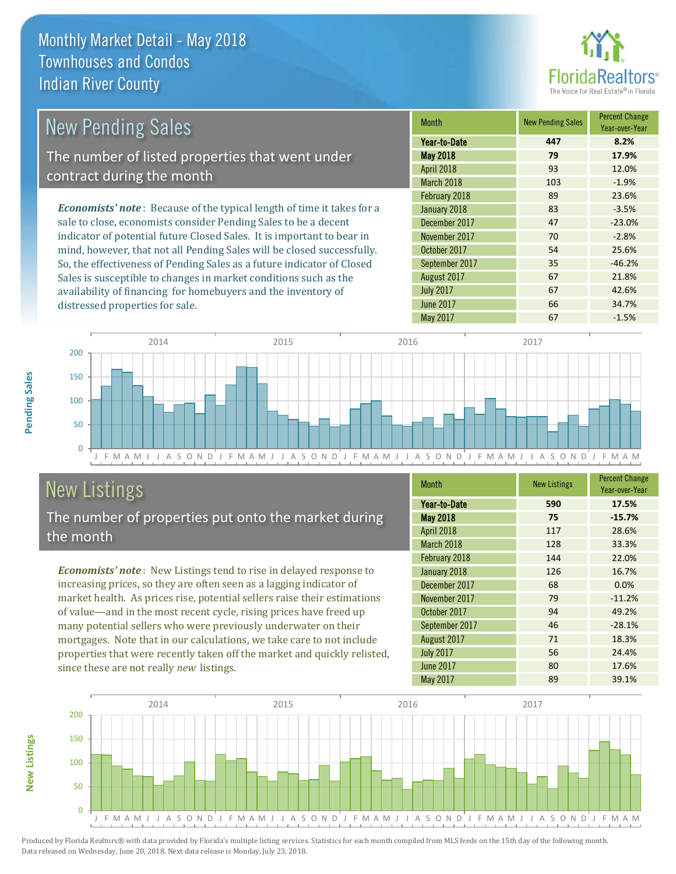distressed properties for sale.



| <b>New Pending Sales</b>                                                       | <b>Month</b>      | <b>New Pending Sales</b> | <b>Percent Change</b><br>Year-over-Year |
|--------------------------------------------------------------------------------|-------------------|--------------------------|-----------------------------------------|
|                                                                                | Year-to-Date      | 447                      | 8.2%                                    |
| The number of listed properties that went under                                | <b>May 2018</b>   | 79                       | 17.9%                                   |
| contract during the month                                                      | <b>April 2018</b> | 93                       | 12.0%                                   |
|                                                                                | <b>March 2018</b> | 103                      | $-1.9%$                                 |
|                                                                                | February 2018     | 89                       | 23.6%                                   |
| <b>Economists' note</b> : Because of the typical length of time it takes for a | January 2018      | 83                       | $-3.5%$                                 |
| sale to close, economists consider Pending Sales to be a decent                | December 2017     | 47                       | $-23.0%$                                |
| indicator of potential future Closed Sales. It is important to bear in         | November 2017     | 70                       | $-2.8%$                                 |
| mind, however, that not all Pending Sales will be closed successfully.         | October 2017      | 54                       | 25.6%                                   |
| So, the effectiveness of Pending Sales as a future indicator of Closed         | September 2017    | 35                       | $-46.2%$                                |
| Sales is susceptible to changes in market conditions such as the               | August 2017       | 67                       | 21.8%                                   |



## New Listings

**New Listings**

**Pending Sales**

Pending Sales

The number of properties put onto the market during the month

availability of financing for homebuyers and the inventory of

*Economists' note* : New Listings tend to rise in delayed response to increasing prices, so they are often seen as a lagging indicator of market health. As prices rise, potential sellers raise their estimations of value—and in the most recent cycle, rising prices have freed up many potential sellers who were previously underwater on their mortgages. Note that in our calculations, we take care to not include properties that were recently taken off the market and quickly relisted, since these are not really *new* listings.

| <b>Month</b>     | <b>New Listings</b> | <b>Percent Change</b><br>Year-over-Year |
|------------------|---------------------|-----------------------------------------|
| Year-to-Date     | 590                 | 17.5%                                   |
| <b>May 2018</b>  | 75                  | $-15.7%$                                |
| April 2018       | 117                 | 28.6%                                   |
| March 2018       | 128                 | 33.3%                                   |
| February 2018    | 144                 | 22.0%                                   |
| January 2018     | 126                 | 16.7%                                   |
| December 2017    | 68                  | 0.0%                                    |
| November 2017    | 79                  | $-11.2%$                                |
| October 2017     | 94                  | 49.2%                                   |
| September 2017   | 46                  | $-28.1%$                                |
| August 2017      | 71                  | 18.3%                                   |
| <b>July 2017</b> | 56                  | 24.4%                                   |
| <b>June 2017</b> | 80                  | 17.6%                                   |
| May 2017         | 89                  | 39.1%                                   |

July 2017 **67** 67 42.6% June 2017 **66** 34.7%

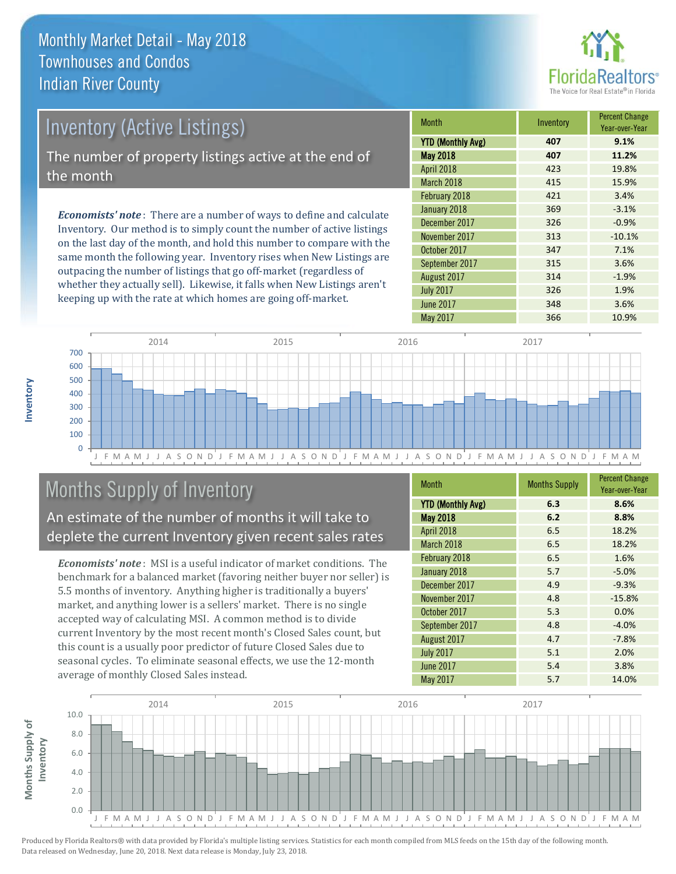

# Inventory (Active Listings) The number of property listings active at the end of the month

*Economists' note* : There are a number of ways to define and calculate Inventory. Our method is to simply count the number of active listings on the last day of the month, and hold this number to compare with the same month the following year. Inventory rises when New Listings are outpacing the number of listings that go off-market (regardless of whether they actually sell). Likewise, it falls when New Listings aren't keeping up with the rate at which homes are going off-market.

| <b>Month</b>             | Inventory | <b>Percent Change</b><br>Year-over-Year |
|--------------------------|-----------|-----------------------------------------|
| <b>YTD (Monthly Avg)</b> | 407       | 9.1%                                    |
| <b>May 2018</b>          | 407       | 11.2%                                   |
| April 2018               | 423       | 19.8%                                   |
| March 2018               | 415       | 15.9%                                   |
| February 2018            | 421       | 3.4%                                    |
| January 2018             | 369       | $-3.1%$                                 |
| December 2017            | 326       | $-0.9%$                                 |
| November 2017            | 313       | $-10.1%$                                |
| October 2017             | 347       | 7.1%                                    |
| September 2017           | 315       | 3.6%                                    |
| August 2017              | 314       | $-1.9%$                                 |
| <b>July 2017</b>         | 326       | 1.9%                                    |
| <b>June 2017</b>         | 348       | 3.6%                                    |
| May 2017                 | 366       | 10.9%                                   |



## Months Supply of Inventory

An estimate of the number of months it will take to deplete the current Inventory given recent sales rates

*Economists' note* : MSI is a useful indicator of market conditions. The benchmark for a balanced market (favoring neither buyer nor seller) is 5.5 months of inventory. Anything higher is traditionally a buyers' market, and anything lower is a sellers' market. There is no single accepted way of calculating MSI. A common method is to divide current Inventory by the most recent month's Closed Sales count, but this count is a usually poor predictor of future Closed Sales due to seasonal cycles. To eliminate seasonal effects, we use the 12-month average of monthly Closed Sales instead.

| Month                    | <b>Months Supply</b> | <b>Percent Change</b><br>Year-over-Year |
|--------------------------|----------------------|-----------------------------------------|
| <b>YTD (Monthly Avg)</b> | 6.3                  | 8.6%                                    |
| <b>May 2018</b>          | 6.2                  | 8.8%                                    |
| April 2018               | 6.5                  | 18.2%                                   |
| March 2018               | 6.5                  | 18.2%                                   |
| February 2018            | 6.5                  | 1.6%                                    |
| January 2018             | 5.7                  | $-5.0%$                                 |
| December 2017            | 4.9                  | $-9.3%$                                 |
| November 2017            | 4.8                  | $-15.8%$                                |
| October 2017             | 5.3                  | 0.0%                                    |
| September 2017           | 4.8                  | $-4.0%$                                 |
| August 2017              | 4.7                  | $-7.8%$                                 |
| <b>July 2017</b>         | 5.1                  | 2.0%                                    |
| <b>June 2017</b>         | 5.4                  | 3.8%                                    |
| May 2017                 | 5.7                  | 14.0%                                   |

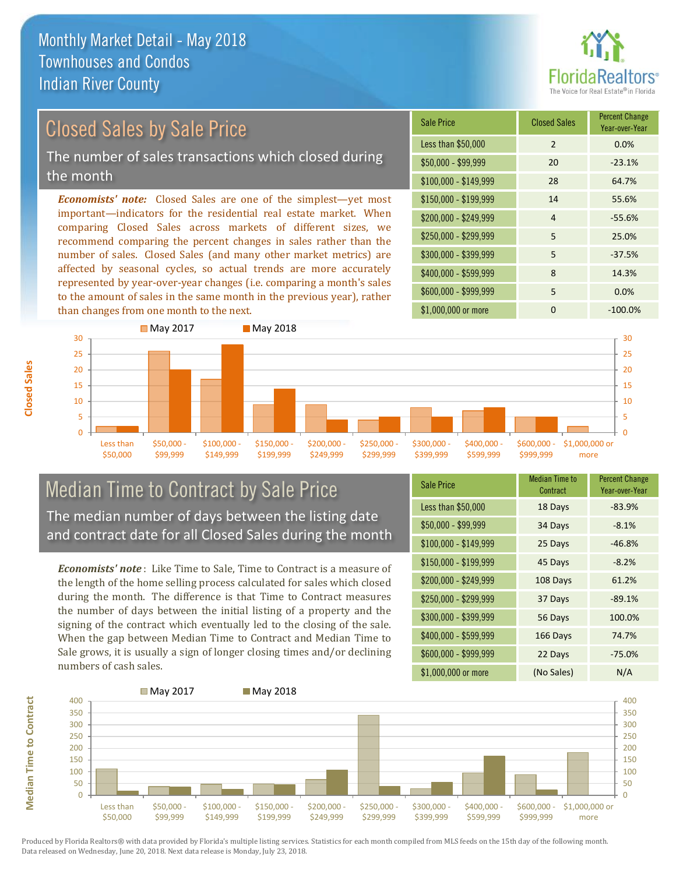

## Closed Sales by Sale Price

The number of sales transactions which closed during the month

*Economists' note:* Closed Sales are one of the simplest—yet most important—indicators for the residential real estate market. When comparing Closed Sales across markets of different sizes, we recommend comparing the percent changes in sales rather than the number of sales. Closed Sales (and many other market metrics) are affected by seasonal cycles, so actual trends are more accurately represented by year-over-year changes (i.e. comparing a month's sales to the amount of sales in the same month in the previous year), rather than changes from one month to the next.

| <b>Sale Price</b>     | <b>Closed Sales</b> | <b>Percent Change</b><br>Year-over-Year |
|-----------------------|---------------------|-----------------------------------------|
| Less than \$50,000    | 2                   | 0.0%                                    |
| $$50,000 - $99,999$   | 20                  | $-23.1%$                                |
| $$100,000 - $149,999$ | 28                  | 64.7%                                   |
| $$150,000 - $199,999$ | 14                  | 55.6%                                   |
| \$200,000 - \$249,999 | 4                   | $-55.6%$                                |
| \$250,000 - \$299,999 | 5                   | 25.0%                                   |
| \$300,000 - \$399,999 | 5                   | $-37.5%$                                |
| \$400,000 - \$599,999 | 8                   | 14.3%                                   |
| \$600,000 - \$999,999 | 5                   | 0.0%                                    |
| \$1,000,000 or more   | ŋ                   | $-100.0%$                               |



### Median Time to Contract by Sale Price The median number of days between the listing date and contract date for all Closed Sales during the month

*Economists' note* : Like Time to Sale, Time to Contract is a measure of the length of the home selling process calculated for sales which closed during the month. The difference is that Time to Contract measures the number of days between the initial listing of a property and the signing of the contract which eventually led to the closing of the sale. When the gap between Median Time to Contract and Median Time to Sale grows, it is usually a sign of longer closing times and/or declining numbers of cash sales.

| <b>Sale Price</b>     | <b>Median Time to</b><br>Contract | <b>Percent Change</b><br>Year-over-Year |
|-----------------------|-----------------------------------|-----------------------------------------|
| Less than \$50,000    | 18 Days                           | $-83.9%$                                |
| $$50,000 - $99,999$   | 34 Days                           | $-8.1%$                                 |
| $$100,000 - $149,999$ | 25 Days                           | $-46.8%$                                |
| \$150,000 - \$199,999 | 45 Days                           | $-8.2%$                                 |
| \$200,000 - \$249,999 | 108 Days                          | 61.2%                                   |
| \$250,000 - \$299,999 | 37 Days                           | $-89.1%$                                |
| \$300,000 - \$399,999 | 56 Days                           | 100.0%                                  |
| \$400,000 - \$599,999 | 166 Days                          | 74.7%                                   |
| \$600,000 - \$999,999 | 22 Days                           | $-75.0%$                                |
| \$1,000,000 or more   | (No Sales)                        | N/A                                     |



**Closed Sales**

**Median Time to Contract Median Time to Contract**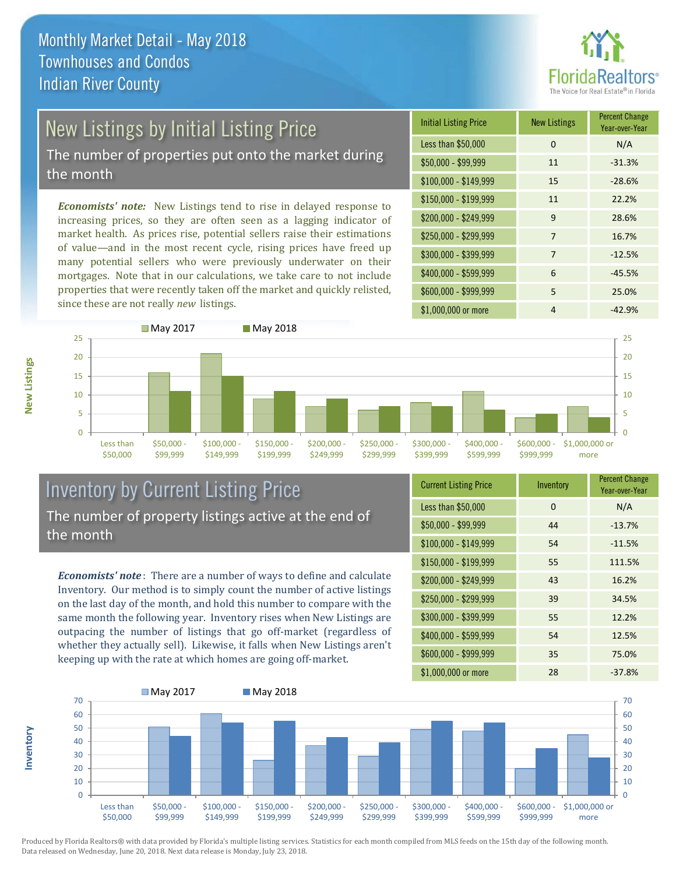

# New Listings by Initial Listing Price

The number of properties put onto the market during the month

*Economists' note:* New Listings tend to rise in delayed response to increasing prices, so they are often seen as a lagging indicator of market health. As prices rise, potential sellers raise their estimations of value—and in the most recent cycle, rising prices have freed up many potential sellers who were previously underwater on their mortgages. Note that in our calculations, we take care to not include properties that were recently taken off the market and quickly relisted, since these are not really *new* listings.

| <b>Initial Listing Price</b> | <b>New Listings</b> | <b>Percent Change</b><br>Year-over-Year |
|------------------------------|---------------------|-----------------------------------------|
| Less than \$50,000           | 0                   | N/A                                     |
| \$50,000 - \$99,999          | 11                  | $-31.3%$                                |
| $$100,000 - $149,999$        | 15                  | $-28.6%$                                |
| $$150,000 - $199,999$        | 11                  | 22.2%                                   |
| \$200,000 - \$249,999        | 9                   | 28.6%                                   |
| \$250,000 - \$299,999        | 7                   | 16.7%                                   |
| \$300,000 - \$399,999        | 7                   | $-12.5%$                                |
| \$400,000 - \$599,999        | 6                   | $-45.5%$                                |
| \$600,000 - \$999,999        | 5                   | 25.0%                                   |
| \$1,000,000 or more          | 4                   | $-42.9%$                                |



### Inventory by Current Listing Price The number of property listings active at the end of the month

*Economists' note* : There are a number of ways to define and calculate Inventory. Our method is to simply count the number of active listings on the last day of the month, and hold this number to compare with the same month the following year. Inventory rises when New Listings are outpacing the number of listings that go off-market (regardless of whether they actually sell). Likewise, it falls when New Listings aren't keeping up with the rate at which homes are going off-market.

| <b>Current Listing Price</b> | Inventory | <b>Percent Change</b><br>Year-over-Year |
|------------------------------|-----------|-----------------------------------------|
| Less than \$50,000           | $\Omega$  | N/A                                     |
| $$50,000 - $99,999$          | 44        | $-13.7%$                                |
| $$100,000 - $149,999$        | 54        | $-11.5%$                                |
| $$150,000 - $199,999$        | 55        | 111.5%                                  |
| \$200,000 - \$249,999        | 43        | 16.2%                                   |
| \$250,000 - \$299,999        | 39        | 34.5%                                   |
| \$300,000 - \$399,999        | 55        | 12.2%                                   |
| \$400,000 - \$599,999        | 54        | 12.5%                                   |
| \$600,000 - \$999,999        | 35        | 75.0%                                   |
| \$1,000,000 or more          | 28        | $-37.8%$                                |



Produced by Florida Realtors® with data provided by Florida's multiple listing services. Statistics for each month compiled from MLS feeds on the 15th day of the following month. Data released on Wednesday, June 20, 2018. Next data release is Monday, July 23, 2018.

**Inventory**